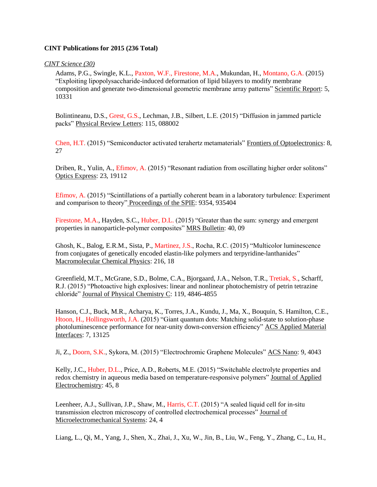## **CINT Publications for 2015 (236 Total)**

*CINT Science (30)*

Adams, P.G., Swingle, K.L., Paxton, W.F., Firestone, M.A., Mukundan, H., Montano, G.A. (2015) "Exploiting lipopolysaccharide-induced deformation of lipid bilayers to modify membrane composition and generate two-dimensional geometric membrane array patterns" Scientific Report: 5, 10331

Bolintineanu, D.S., Grest, G.S., Lechman, J.B., Silbert, L.E. (2015) "Diffusion in jammed particle packs" Physical Review Letters: 115, 088002

Chen, H.T. (2015) "Semiconductor activated terahertz metamaterials" Frontiers of Optoelectronics: 8, 27

Driben, R., Yulin, A., Efimov, A. (2015) "Resonant radiation from oscillating higher order solitons" Optics Express: 23, 19112

Efimov, A. (2015) "Scintillations of a partially coherent beam in a laboratory turbulence: Experiment and comparison to theory" Proceedings of the SPIE: 9354, 935404

Firestone, M.A., Hayden, S.C., Huber, D.L. (2015) "Greater than the sum: synergy and emergent properties in nanoparticle-polymer composites" MRS Bulletin: 40, 09

Ghosh, K., Balog, E.R.M., Sista, P., Martinez, J.S., Rocha, R.C. (2015) "Multicolor luminescence from conjugates of genetically encoded elastin-like polymers and terpyridine-lanthanides" Macromolecular Chemical Physics: 216, 18

Greenfield, M.T., McGrane, S.D., Bolme, C.A., Bjorgaard, J.A., Nelson, T.R., Tretiak, S., Scharff, R.J. (2015) "Photoactive high explosives: linear and nonlinear photochemistry of petrin tetrazine chloride" Journal of Physical Chemistry C: 119, 4846-4855

Hanson, C.J., Buck, M.R., Acharya, K., Torres, J.A., Kundu, J., Ma, X., Bouquin, S. Hamilton, C.E., Htoon, H., Hollingsworth, J.A. (2015) "Giant quantum dots: Matching solid-state to solution-phase photoluminescence performance for near-unity down-conversion efficiency" ACS Applied Material Interfaces: 7, 13125

Ji, Z., Doorn, S.K., Sykora, M. (2015) "Electrochromic Graphene Molecules" ACS Nano: 9, 4043

Kelly, J.C., Huber, D.L., Price, A.D., Roberts, M.E. (2015) "Switchable electrolyte properties and redox chemistry in aqueous media based on temperature-responsive polymers" Journal of Applied Electrochemistry: 45, 8

Leenheer, A.J., Sullivan, J.P., Shaw, M., Harris, C.T. (2015) "A sealed liquid cell for in-situ transmission electron microscopy of controlled electrochemical processes" Journal of Microelectromechanical Systems: 24, 4

Liang, L., Qi, M., Yang, J., Shen, X., Zhai, J., Xu, W., Jin, B., Liu, W., Feng, Y., Zhang, C., Lu, H.,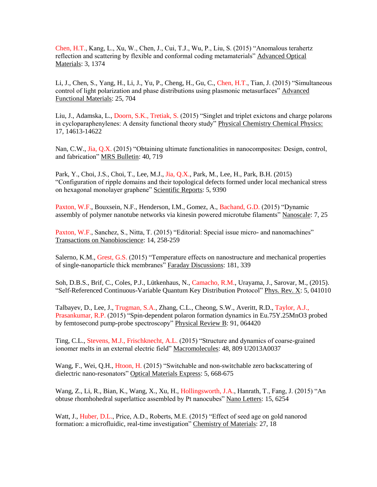Chen, H.T., Kang, L., Xu, W., Chen, J., Cui, T.J., Wu, P., Liu, S. (2015) "Anomalous terahertz reflection and scattering by flexible and conformal coding metamaterials" Advanced Optical Materials: 3, 1374

Li, J., Chen, S., Yang, H., Li, J., Yu, P., Cheng, H., Gu, C., Chen, H.T., Tian, J. (2015) "Simultaneous control of light polarization and phase distributions using plasmonic metasurfaces" Advanced Functional Materials: 25, 704

Liu, J., Adamska, L., Doorn, S.K., Tretiak, S. (2015) "Singlet and triplet exictons and charge polarons in cycloparaphenylenes: A density functional theory study" Physical Chemistry Chemical Physics: 17, 14613-14622

Nan, C.W., Jia, Q.X. (2015) "Obtaining ultimate functionalities in nanocomposites: Design, control, and fabrication" MRS Bulletin: 40, 719

Park, Y., Choi, J.S., Choi, T., Lee, M.J., Jia, Q.X., Park, M., Lee, H., Park, B.H. (2015) "Configuration of ripple domains and their topological defects formed under local mechanical stress on hexagonal monolayer graphene" Scientific Reports: 5, 9390

Paxton, W.F., Bouxsein, N.F., Henderson, I.M., Gomez, A., Bachand, G.D. (2015) "Dynamic assembly of polymer nanotube networks via kinesin powered microtube filaments" Nanoscale: 7, 25

Paxton, W.F., Sanchez, S., Nitta, T. (2015) "Editorial: Special issue micro- and nanomachines" Transactions on Nanobioscience: 14, 258-259

Salerno, K.M., Grest, G.S. (2015) "Temperature effects on nanostructure and mechanical properties of single-nanoparticle thick membranes" Faraday Discussions: 181, 339

Soh, D.B.S., Brif, C., Coles, P.J., Lütkenhaus, N., Camacho, R.M., Urayama, J., Sarovar, M., (2015). "Self-Referenced Continuous-Variable Quantum Key Distribution Protocol" Phys. Rev. X: 5, 041010

Talbayev, D., Lee, J., Trugman, S.A., Zhang, C.L., Cheong, S.W., Averitt, R.D., Taylor, A.J., Prasankumar, R.P. (2015) "Spin-dependent polaron formation dynamics in Eu.75Y.25MnO3 probed by femtosecond pump-probe spectroscopy" Physical Review B: 91, 064420

Ting, C.L., Stevens, M.J., Frischknecht, A.L. (2015) "Structure and dynamics of coarse-grained ionomer melts in an external electric field" Macromolecules: 48, 809 U2013A0037

Wang, F., Wei, Q.H., Htoon, H. (2015) "Switchable and non-switchable zero backscattering of dielectric nano-resonators" Optical Materials Express: 5, 668-675

Wang, Z., Li, R., Bian, K., Wang, X., Xu, H., Hollingsworth, J.A., Hanrath, T., Fang, J. (2015) "An obtuse rhomhohedral superlattice assembled by Pt nanocubes" Nano Letters: 15, 6254

Watt, J., Huber, D.L., Price, A.D., Roberts, M.E. (2015) "Effect of seed age on gold nanorod formation: a microfluidic, real-time investigation" Chemistry of Materials: 27, 18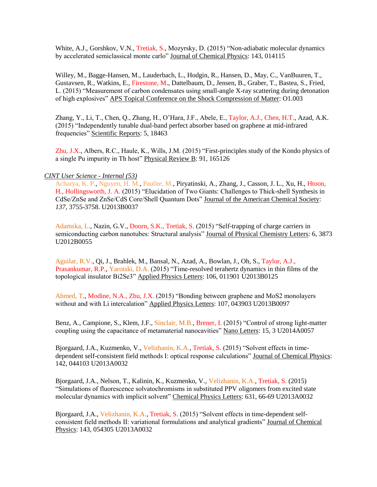White, A.J., Gorshkov, V.N., Tretiak, S., Mozyrsky, D. (2015) "Non-adiabatic molecular dynamics by accelerated semiclassical monte carlo" Journal of Chemical Physics: 143, 014115

Willey, M., Bagge-Hansen, M., Lauderbach, L., Hodgin, R., Hansen, D., May, C., VanBuuren, T., Gustavsen, R., Watkins, E., Firestone, M., Dattelbaum, D., Jensen, B., Graber, T., Bastea, S., Fried, L. (2015) "Measurement of carbon condensates using small-angle X-ray scattering during detonation of high explosives" APS Topical Conference on the Shock Compression of Matter: O1.003

Zhang, Y., Li, T., Chen, Q., Zhang, H., O'Hara, J.F., Abele, E., Taylor, A.J., Chen, H.T., Azad, A.K. (2015) "Independently tunable dual-band perfect absorber based on graphene at mid-infrared frequencies" Scientific Reports: 5, 18463

Zhu, J.X., Albers, R.C., Haule, K., Wills, J.M. (2015) "First-principles study of the Kondo physics of a single Pu impurity in Th host" Physical Review B: 91, 165126

## *CINT User Science - Internal (53)*

Acharya, K. P., Nguyen, H. M., Paulite, M., Piryatinski, A., Zhang, J., Casson, J. L., Xu, H., Htoon, H., Hollingsworth, J. A. (2015) "Elucidation of Two Giants: Challenges to Thick-shell Synthesis in CdSe/ZnSe and ZnSe/CdS Core/Shell Quantum Dots" Journal of the American Chemical Society: *137*, 3755-3758. U2013B0037

Adamska, L., Nazin, G.V., Doorn, S.K., Tretiak, S. (2015) "Self-trapping of charge carriers in semiconducting carbon nanotubes: Structural analysis" Journal of Physical Chemistry Letters: 6, 3873 U2012B0055

Aguilar, R.V., Qi, J., Brahlek, M., Bansal, N., Azad, A., Bowlan, J., Oh, S., Taylor, A.J., Prasankumar, R.P., Yarotski, D.A. (2015) "Time-resolved terahertz dynamics in thin films of the topological insulator Bi2Se3" Applied Physics Letters: 106, 011901 U2013B0125

Ahmed, T., Modine, N.A., Zhu, J.X. (2015) "Bonding between graphene and MoS2 monolayers without and with Li intercalation" Applied Physics Letters: 107, 043903 U2013B0097

Benz, A., Campione, S., Klem, J.F., Sinclair, M.B., Brener, I. (2015) "Control of strong light-matter coupling using the capacitance of metamaterial nanocavities" Nano Letters: 15, 3 U2014A0057

Bjorgaard, J.A., Kuzmenko, V., Velizhanin, K.A., Tretiak, S. (2015) "Solvent effects in timedependent self-consistent field methods I: optical response calculations" Journal of Chemical Physics: 142, 044103 U2013A0032

Bjorgaard, J.A., Nelson, T., Kalinin, K., Kuzmenko, V., Velizhanin, K.A., Tretiak, S. (2015) "Simulations of fluorescence solvatochromisms in substituted PPV oligomers from excited state molecular dynamics with implicit solvent" Chemical Physics Letters: 631, 66-69 U2013A0032

Bjorgaard, J.A., Velizhanin, K.A., Tretiak, S. (2015) "Solvent effects in time-dependent selfconsistent field methods II: variational formulations and analytical gradients" Journal of Chemical Physics: 143, 054305 U2013A0032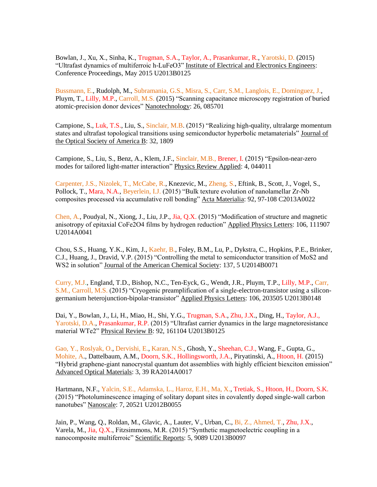Bowlan, J., Xu, X., Sinha, K., Trugman, S.A., Taylor, A., Prasankumar, R., Yarotski, D. (2015) "Ultrafast dynamics of multiferroic h-LuFeO3" Institute of Electrical and Electronics Engineers: Conference Proceedings, May 2015 U2013B0125

Bussmann, E., Rudolph, M., Subramania, G.S., Misra, S., Carr, S.M., Langlois, E., Dominguez, J., Pluym, T., Lilly, M.P., Carroll, M.S. (2015) "Scanning capacitance microscopy registration of buried atomic-precision donor devices" Nanotechnology: 26, 085701

Campione, S., Luk, T.S., Liu, S., Sinclair, M.B. (2015) "Realizing high-quality, ultralarge momentum states and ultrafast topological transitions using semiconductor hyperbolic metamaterials" Journal of the Optical Society of America B: 32, 1809

Campione, S., Liu, S., Benz, A., Klem, J.F., Sinclair, M.B., Brener, I. (2015) "Epsilon-near-zero modes for tailored light-matter interaction" Physics Review Applied: 4, 044011

Carpenter, J.S., Nizolek, T., McCabe, R., Knezevic, M., Zheng, S., Eftink, B., Scott, J., Vogel, S., Pollock, T., Mara, N.A., Beyerlein, I.J. (2015) "Bulk texture evolution of nanolamellar Zr-Nb composites processed via accumulative roll bonding" Acta Materialia: 92, 97-108 C2013A0022

Chen, A., Poudyal, N., Xiong, J., Liu, J.P., Jia, Q.X. (2015) "Modification of structure and magnetic anisotropy of epitaxial CoFe2O4 films by hydrogen reduction" Applied Physics Letters: 106, 111907 U2014A0041

Chou, S.S., Huang, Y.K., Kim, J., Kaehr, B., Foley, B.M., Lu, P., Dykstra, C., Hopkins, P.E., Brinker, C.J., Huang, J., Dravid, V.P. (2015) "Controlling the metal to semiconductor transition of MoS2 and WS2 in solution" Journal of the American Chemical Society: 137, 5 U2014B0071

Curry, M.J., England, T.D., Bishop, N.C., Ten-Eyck, G., Wendt, J.R., Pluym, T.P., Lilly, M.P., Carr, S.M., Carroll, M.S. (2015) "Cryogenic preamplification of a single-electron-transistor using a silicongermanium heterojunction-bipolar-transistor" Applied Physics Letters: 106, 203505 U2013B0148

Dai, Y., Bowlan, J., Li, H., Miao, H., Shi, Y.G., Trugman, S.A., Zhu, J.X., Ding, H., Taylor, A.J., Yarotski, D.A., Prasankumar, R.P. (2015) "Ultrafast carrier dynamics in the large magnetoresistance material WTe2" Physical Review B: 92, 161104 U2013B0125

Gao, Y., Roslyak, O., Dervishi, E., Karan, N.S., Ghosh, Y., Sheehan, C.J., Wang, F., Gupta, G., Mohite, A., Dattelbaum, A.M., Doorn, S.K., Hollingsworth, J.A., Piryatinski, A., Htoon, H. (2015) "Hybrid graphene-giant nanocrystal quantum dot assemblies with highly efficient biexciton emission" Advanced Optical Materials: 3, 39 RA2014A0017

Hartmann, N.F., Yalcin, S.E., Adamska, L., Haroz, E.H., Ma, X., Tretiak, S., Htoon, H., Doorn, S.K. (2015) "Photoluminescence imaging of solitary dopant sites in covalently doped single-wall carbon nanotubes" Nanoscale: 7, 20521 U2012B0055

Jain, P., Wang, Q., Roldan, M., Glavic, A., Lauter, V., Urban, C., Bi, Z., Ahmed, T., Zhu, J.X., Varela, M., Jia, Q.X., Fitzsimmons, M.R. (2015) "Synthetic magnetoelectric coupling in a nanocomposite multiferroic" Scientific Reports: 5, 9089 U2013B0097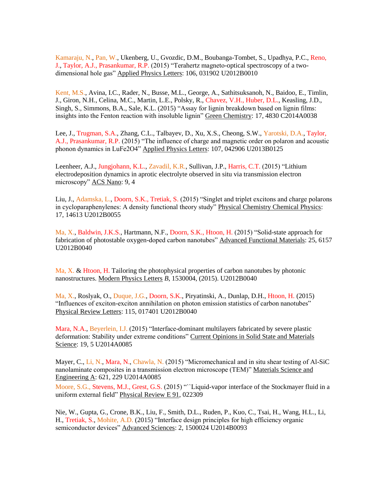Kamaraju, N., Pan, W., Ukenberg, U., Gvozdic, D.M., Boubanga-Tombet, S., Upadhya, P.C., Reno, J., Taylor, A.J., Prasankumar, R.P. (2015) "Terahertz magneto-optical spectroscopy of a twodimensional hole gas" Applied Physics Letters: 106, 031902 U2012B0010

Kent, M.S., Avina, I.C., Rader, N., Busse, M.L., George, A., Sathitsuksanoh, N., Baidoo, E., Timlin, J., Giron, N.H., Celina, M.C., Martin, L.E., Polsky, R., Chavez, V.H., Huber, D.L., Keasling, J.D., Singh, S., Simmons, B.A., Sale, K.L. (2015) "Assay for lignin breakdown based on lignin films: insights into the Fenton reaction with insoluble lignin" Green Chemistry: 17, 4830 C2014A0038

Lee, J., Trugman, S.A., Zhang, C.L., Talbayev, D., Xu, X.S., Cheong, S.W., Yarotski, D.A., Taylor, A.J., Prasankumar, R.P. (2015) "The influence of charge and magnetic order on polaron and acoustic phonon dynamics in LuFe2O4" Applied Physics Letters: 107, 042906 U2013B0125

Leenheer, A.J., Jungjohann, K.L., Zavadil, K.R., Sullivan, J.P., Harris, C.T. (2015) "Lithium electrodeposition dynamics in aprotic electrolyte observed in situ via transmission electron microscopy" ACS Nano: 9, 4

Liu, J., Adamska, L., Doorn, S.K., Tretiak, S. (2015) "Singlet and triplet excitons and charge polarons in cycloparaphenylenes: A density functional theory study" Physical Chemistry Chemical Physics: 17, 14613 U2012B0055

Ma, X., Baldwin, J.K.S., Hartmann, N.F., Doorn, S.K., Htoon, H. (2015) "Solid-state approach for fabrication of photostable oxygen-doped carbon nanotubes" Advanced Functional Materials: 25, 6157 U2012B0040

Ma, X. & Htoon, H. Tailoring the photophysical properties of carbon nanotubes by photonic nanostructures. Modern Physics Letters *B*, 1530004, (2015). U2012B0040

Ma, X., Roslyak, O., Duque, J.G., Doorn, S.K., Piryatinski, A., Dunlap, D.H., Htoon, H. (2015) "Influences of exciton-exciton annihilation on photon emission statistics of carbon nanotubes" Physical Review Letters: 115, 017401 U2012B0040

Mara, N.A., Beyerlein, I.J. (2015) "Interface-dominant multilayers fabricated by severe plastic deformation: Stability under extreme conditions" Current Opinions in Solid State and Materials Science: 19, 5 U2014A0085

Mayer, C., Li, N., Mara, N., Chawla, N. (2015) "Micromechanical and in situ shear testing of Al-SiC nanolaminate composites in a transmission electron microscope (TEM)" Materials Science and Engineering A: 621, 229 U2014A0085

Moore, S.G., Stevens, M.J., Grest, G.S. (2015) ""Liquid-vapor interface of the Stockmayer fluid in a uniform external field" Physical Review E 91, 022309

Nie, W., Gupta, G., Crone, B.K., Liu, F., Smith, D.L., Ruden, P., Kuo, C., Tsai, H., Wang, H.L., Li, H., Tretiak, S., Mohite, A.D. (2015) "Interface design principles for high efficiency organic semiconductor devices" Advanced Sciences: 2, 1500024 U2014B0093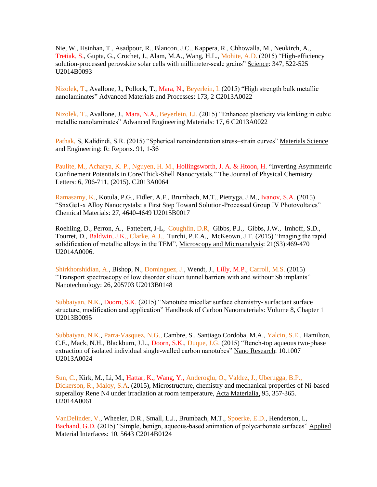Nie, W., Hsinhan, T., Asadpour, R., Blancon, J.C., Kappera, R., Chhowalla, M., Neukirch, A., Tretiak, S., Gupta, G., Crochet, J., Alam, M.A., Wang, H.L., Mohite, A.D. (2015) "High-efficiency solution-processed perovskite solar cells with millimeter-scale grains" Science: 347, 522-525 U2014B0093

Nizolek, T., Avallone, J., Pollock, T., Mara, N., Beyerlein, I. (2015) "High strength bulk metallic nanolaminates" Advanced Materials and Processes: 173, 2 C2013A0022

Nizolek, T., Avallone, J., Mara, N.A., Beyerlein, I.J. (2015) "Enhanced plasticity via kinking in cubic metallic nanolaminates" Advanced Engineering Materials: 17, 6 C2013A0022

Pathak, S, Kalidindi, S.R. (2015) "Spherical nanoindentation stress–strain curves" Materials Science and Engineering: R: Reports. 91, 1-36

Paulite, M., Acharya, K. P., Nguyen, H. M., Hollingsworth, J. A. & Htoon, H. "Inverting Asymmetric Confinement Potentials in Core/Thick-Shell Nanocrystals." The Journal of Physical Chemistry Letters: 6, 706-711, (2015). C2013A0064

Ramasamy, K., Kotula, P.G., Fidler, A.F., Brumbach, M.T., Pietryga, J.M., Ivanov, S.A. (2015) "SnxGe1-x Alloy Nanocrystals: a First Step Toward Solution-Processed Group IV Photovoltaics" Chemical Materials: 27, 4640-4649 U2015B0017

Roehling, D., Perron, A., Fattebert, J-L, Coughlin, D.R, Gibbs, P.J., Gibbs, J.W., Imhoff, S.D., Tourret, D., Baldwin, J.K., Clarke, A.J., Turchi, P.E.A., McKeown, J.T. (2015) "Imaging the rapid solidification of metallic alloys in the TEM", Microscopy and Microanalysis: 21(S3):469-470 U2014A0006.

Shirkhorshidian, A., Bishop, N., Dominguez, J., Wendt, J., Lilly, M.P., Carroll, M.S. (2015) "Transport spectroscopy of low disorder silicon tunnel barriers with and withour Sb implants" Nanotechnology: 26, 205703 U2013B0148

Subbaiyan, N.K., Doorn, S.K. (2015) "Nanotube micellar surface chemistry- surfactant surface structure, modification and application" Handbook of Carbon Nanomaterials: Volume 8, Chapter 1 U2013B0095

Subbaiyan, N.K., Parra-Vasquez, N.G., Cambre, S., Santiago Cordoba, M.A., Yalcin, S.E., Hamilton, C.E., Mack, N.H., Blackburn, J.L., Doorn, S.K., Duque, J.G. (2015) "Bench-top aqueous two-phase extraction of isolated individual single-walled carbon nanotubes" Nano Research: 10.1007 U2013A0024

Sun, C., Kirk, M., Li, M., Hattar, K., Wang, Y., Anderoglu, O., Valdez, J., Uberugga, B.P., Dickerson, R., Maloy, S.A. (2015), Microstructure, chemistry and mechanical properties of Ni-based superalloy Rene N4 under irradiation at room temperature, Acta Materialia, 95, 357-365. U2014A0061

VanDelinder, V., Wheeler, D.R., Small, L.J., Brumbach, M.T., Spoerke, E.D., Henderson, I., Bachand, G.D. (2015) "Simple, benign, aqueous-based animation of polycarbonate surfaces" Applied Material Interfaces: 10, 5643 C2014B0124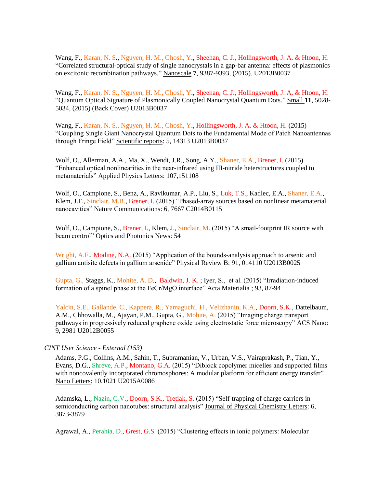Wang, F., Karan, N. S., Nguyen, H. M., Ghosh, Y., Sheehan, C. J., Hollingsworth, J. A. & Htoon, H. "Correlated structural-optical study of single nanocrystals in a gap-bar antenna: effects of plasmonics on excitonic recombination pathways." Nanoscale **7**, 9387-9393, (2015). U2013B0037

Wang, F., Karan, N. S., Nguyen, H. M., Ghosh, Y., Sheehan, C. J., Hollingsworth, J. A. & Htoon, H. "Quantum Optical Signature of Plasmonically Coupled Nanocrystal Quantum Dots." Small **11**, 5028- 5034, (2015) (Back Cover) U2013B0037

Wang, F., Karan, N. S., Nguyen, H. M., Ghosh, Y., Hollingsworth, J. A. & Htoon, H. (2015) "Coupling Single Giant Nanocrystal Quantum Dots to the Fundamental Mode of Patch Nanoantennas through Fringe Field" Scientific reports: 5, 14313 U2013B0037

Wolf, O., Allerman, A.A., Ma, X., Wendt, J.R., Song, A.Y., Shaner, E.A., Brener, I. (2015) "Enhanced optical nonlinearities in the near-infrared using III-nitride heterstructures coupled to metamaterials" Applied Physics Letters: 107,151108

Wolf, O., Campione, S., Benz, A., Ravikumar, A.P., Liu, S., Luk, T.S., Kadlec, E.A., Shaner, E.A., Klem, J.F., Sinclair, M.B., Brener, I. (2015) "Phased-array sources based on nonlinear metamaterial nanocavities" Nature Communications: 6, 7667 C2014B0115

Wolf, O., Campione, S., Brener, I., Klem, J., Sinclair, M. (2015) "A smail-footprint IR source with beam control" Optics and Photonics News: 54

Wright, A.F., Modine, N.A. (2015) "Application of the bounds-analysis approach to arsenic and gallium antisite defects in gallium arsenide" Physical Review B: 91, 014110 U2013B0025

Gupta, G., Staggs, K., Mohite, A. D., Baldwin, J. K. ; Iyer, S., et al. (2015) "Irradiation-induced formation of a spinel phase at the FeCr/MgO interface" Acta Materialia ; 93, 87-94

Yalcin, S.E., Gallande, C., Kappera, R., Yamaguchi, H., Velizhanin, K.A., Doorn, S.K., Dattelbaum, A.M., Chhowalla, M., Ajayan, P.M., Gupta, G., Mohite, A. (2015) "Imaging charge transport pathways in progressively reduced graphene oxide using electrostatic force microscopy" ACS Nano: 9, 2981 U2012B0055

## *CINT User Science - External (153)*

Adams, P.G., Collins, A.M., Sahin, T., Subramanian, V., Urban, V.S., Vairaprakash, P., Tian, Y., Evans, D.G., Shreve, A.P., Montano, G.A. (2015) "Diblock copolymer micelles and supported films with noncovalently incorporated chromosphores: A modular platform for efficient energy transfer" Nano Letters: 10.1021 U2015A0086

Adamska, L., Nazin, G.V., Doorn, S.K., Tretiak, S. (2015) "Self-trapping of charge carriers in semiconducting carbon nanotubes: structural analysis" Journal of Physical Chemistry Letters: 6, 3873-3879

Agrawal, A., Perahia, D., Grest, G.S. (2015) "Clustering effects in ionic polymers: Molecular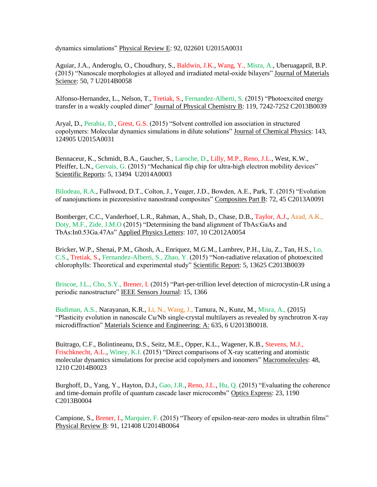dynamics simulations" Physical Review E: 92, 022601 U2015A0031

Aguiar, J.A., Anderoglu, O., Choudhury, S., Baldwin, J.K., Wang, Y., Misra, A., Uberuagapril, B.P. (2015) "Nanoscale morphologies at alloyed and irradiated metal-oxide bilayers" Journal of Materials Science: 50, 7 U2014B0058

Alfonso-Hernandez, L., Nelson, T., Tretiak, S., Fernandez-Alberti, S. (2015) "Photoexcited energy transfer in a weakly coupled dimer" Journal of Physical Chemistry B: 119, 7242-7252 C2013B0039

Aryal, D., Perahia, D., Grest, G.S. (2015) "Solvent controlled ion association in structured copolymers: Molecular dynamics simulations in dilute solutions" Journal of Chemical Physics: 143, 124905 U2015A0031

Bennaceur, K., Schmidt, B.A., Gaucher, S., Laroche, D., Lilly, M.P., Reno, J.L., West, K.W., Pfeiffer, L.N., Gervais, G. (2015) "Mechanical flip chip for ultra-high electron mobility devices" Scientific Reports: 5, 13494 U2014A0003

Bilodeau, R.A., Fullwood, D.T., Colton, J., Yeager, J.D., Bowden, A.E., Park, T. (2015) "Evolution of nanojunctions in piezoresistive nanostrand composites" Composites Part B: 72, 45 C2013A0091

Bomberger, C.C., Vanderhoef, L.R., Rahman, A., Shah, D., Chase, D.B., Taylor, A.J., Azad, A.K., Doty, M.F., Zide, J.M.O (2015) "Determining the band alignment of TbAs:GaAs and TbAs:In0.53Ga.47As" Applied Physics Letters: 107, 10 C2012A0054

Bricker, W.P., Shenai, P.M., Ghosh, A., Enriquez, M.G.M., Lambrev, P.H., Liu, Z., Tan, H.S., Lo, C.S., Tretiak, S., Fernandez-Alberti, S., Zhao, Y. (2015) "Non-radiative relaxation of photoexcited chlorophylls: Theoretical and experimental study" Scientific Report: 5, 13625 C2013B0039

Briscoe, J.L., Cho, S.Y., Brener, I. (2015) "Part-per-trillion level detection of microcystin-LR using a periodic nanostructure" IEEE Sensors Journal: 15, 1366

Budiman, A.S., Narayanan, K.R., Li, N., Wang, J., Tamura, N., Kunz, M., Misra, A., (2015) "Plasticity evolution in nanoscale Cu/Nb single-crystal multilayers as revealed by synchrotron X-ray microdiffraction" Materials Science and Engineering: A: 635, 6 U2013B0018.

Buitrago, C.F., Bolintineanu, D.S., Seitz, M.E., Opper, K.L., Wagener, K.B., Stevens, M.J., Frischknecht, A.L., Winey, K.I. (2015) "Direct comparisons of X-ray scattering and atomistic molecular dynamics simulations for precise acid copolymers and ionomers" Macromolecules: 48, 1210 C2014B0023

Burghoff, D., Yang, Y., Hayton, D.J., Gao, J.R., Reno, J.L., Hu, Q. (2015) "Evaluating the coherence and time-domain profile of quantum cascade laser microcombs" Optics Express: 23, 1190 C2013B0004

Campione, S., Brener, I., Marquier, F. (2015) "Theory of epsilon-near-zero modes in ultrathin films" Physical Review B: 91, 121408 U2014B0064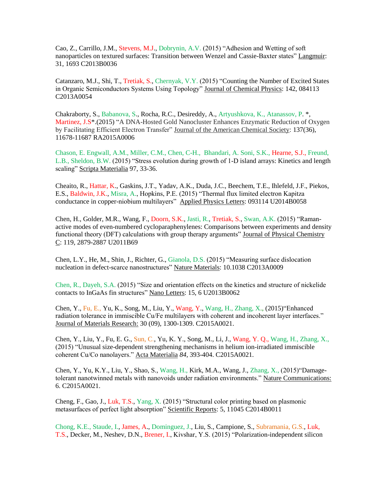Cao, Z., Carrillo, J.M., Stevens, M.J., Dobrynin, A.V. (2015) "Adhesion and Wetting of soft nanoparticles on textured surfaces: Transition between Wenzel and Cassie-Baxter states" Langmuir: 31, 1693 C2013B0036

Catanzaro, M.J., Shi, T., Tretiak, S., Chernyak, V.Y. (2015) "Counting the Number of Excited States in Organic Semiconductors Systems Using Topology" Journal of Chemical Physics: 142, 084113 C2013A0054

Chakraborty, S., Babanova, S., Rocha, R.C., Desireddy, A., Artyushkova, K., Atanassov, P. \*, Martinez, J.S\*.(2015) "A DNA-Hosted Gold Nanocluster Enhances Enzymatic Reduction of Oxygen by Facilitating Efficient Electron Transfer" Journal of the American Chemical Society: 137(36), 11678-11687 RA2015A0006

Chason, E. Engwall, A.M., Miller, C.M., Chen, C-H., Bhandari, A. Soni, S.K., Hearne, S.J., Freund, L.B., Sheldon, B.W. (2015) "Stress evolution during growth of 1-D island arrays: Kinetics and length scaling" Scripta Materialia 97, 33-36.

Cheaito, R., Hattar, K., Gaskins, J.T., Yadav, A.K., Duda, J.C., Beechem, T.E., Ihlefeld, J.F., Piekos, E.S., Baldwin, J.K., Misra, A., Hopkins, P.E. (2015) "Thermal flux limited electron Kapitza conductance in copper-niobium multilayers" Applied Physics Letters: 093114 U2014B0058

Chen, H., Golder, M.R., Wang, F., Doorn, S.K., Jasti, R., Tretiak, S., Swan, A.K. (2015) "Ramanactive modes of even-numbered cycloparaphenylenes: Comparisons between experiments and density functional theory (DFT) calculations with group therapy arguments" Journal of Physical Chemistry C: 119, 2879-2887 U2011B69

Chen, L.Y., He, M., Shin, J., Richter, G., Gianola, D.S. (2015) "Measuring surface dislocation nucleation in defect-scarce nanostructures" Nature Materials: 10.1038 C2013A0009

Chen, R., Dayeh, S.A. (2015) "Size and orientation effects on the kinetics and structure of nickelide contacts to InGaAs fin structures" Nano Letters: 15, 6 U2013B0062

Chen, Y., Fu, E., Yu, K., Song, M., Liu, Y., Wang, Y., Wang, H., Zhang, X., (2015)"Enhanced radiation tolerance in immiscible Cu/Fe multilayers with coherent and incoherent layer interfaces." Journal of Materials Research: 30 (09), 1300-1309. C2015A0021.

Chen, Y., Liu, Y., Fu, E. G., Sun, C., Yu, K. Y., Song, M., Li, J., Wang, Y. Q., Wang, H., Zhang, X., (2015) "Unusual size-dependent strengthening mechanisms in helium ion-irradiated immiscible coherent Cu/Co nanolayers." Acta Materialia *84*, 393-404. C2015A0021.

Chen, Y., Yu, K.Y., Liu, Y., Shao, S., Wang, H., Kirk, M.A., Wang, J., Zhang, X., (2015)"Damagetolerant nanotwinned metals with nanovoids under radiation environments." Nature Communications: 6. C2015A0021.

Cheng, F., Gao, J., Luk, T.S., Yang, X. (2015) "Structural color printing based on plasmonic metasurfaces of perfect light absorption" Scientific Reports: 5, 11045 C2014B0011

Chong, K.E., Staude, I., James, A., Dominguez, J., Liu, S., Campione, S., Subramania, G.S., Luk, T.S., Decker, M., Neshev, D.N., Brener, I., Kivshar, Y.S. (2015) "Polarization-independent silicon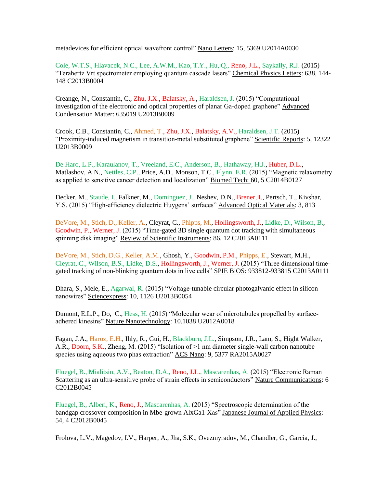metadevices for efficient optical wavefront control" Nano Letters: 15, 5369 U2014A0030

Cole, W.T.S., Hlavacek, N.C., Lee, A.W.M., Kao, T.Y., Hu, Q., Reno, J.L., Saykally, R.J. (2015) "Terahertz Vrt spectrometer employing quantum cascade lasers" Chemical Physics Letters: 638, 144- 148 C2013B0004

Creange, N., Constantin, C., Zhu, J.X., Balatsky, A., Haraldsen, J. (2015) "Computational investigation of the electronic and optical properties of planar Ga-doped graphene" Advanced Condensation Matter: 635019 U2013B0009

Crook, C.B., Constantin, C., Ahmed, T., Zhu, J.X., Balatsky, A.V., Haraldsen, J.T. (2015) "Proximity-induced magnetism in transition-metal substituted graphene" Scientific Reports: 5, 12322 U2013B0009

De Haro, L.P., Karaulanov, T., Vreeland, E.C., Anderson, B., Hathaway, H.J., Huber, D.L., Matlashov, A.N., Nettles, C.P., Price, A.D., Monson, T.C., Flynn, E.R. (2015) "Magnetic relaxometry as applied to sensitive cancer detection and localization" Biomed Tech: 60, 5 C2014B0127

Decker, M., Staude, I., Falkner, M., Dominguez, J., Neshev, D.N., Brener, I., Pertsch, T., Kivshar, Y.S. (2015) "High-efficiency dielectric Huygens' surfaces" Advanced Optical Materials: 3, 813

DeVore, M., Stich, D., Keller, A., Cleyrat, C., Phipps, M., Hollingsworth, J., Lidke, D., Wilson, B., Goodwin, P., Werner, J. (2015) "Time-gated 3D single quantum dot tracking with simultaneous spinning disk imaging" Review of Scientific Instruments: 86, 12 C2013A0111

DeVore, M., Stich, D.G., Keller, A.M., Ghosh, Y., Goodwin, P.M., Phipps, E., Stewart, M.H., Cleyrat, C., Wilson, B.S., Lidke, D.S., Hollingsworth, J., Werner, J. (2015) "Three dimensional timegated tracking of non-blinking quantum dots in live cells" SPIE BiOS: 933812-933815 C2013A0111

Dhara, S., Mele, E., Agarwal, R. (2015) "Voltage-tunable circular photogalvanic effect in silicon nanowires" Sciencexpress: 10, 1126 U2013B0054

Dumont, E.L.P., Do, C., Hess, H. (2015) "Molecular wear of microtubules propelled by surfaceadhered kinesins" Nature Nanotechnology: 10.1038 U2012A0018

Fagan, J.A., Haroz, E.H., Ihly, R., Gui, H., Blackburn, J.L., Simpson, J.R., Lam, S., Hight Walker, A.R., Doorn, S.K., Zheng, M. (2015) "Isolation of >1 nm diameter single-wall carbon nanotube species using aqueous two phas extraction" ACS Nano: 9, 5377 RA2015A0027

Fluegel, B., Mialitsin, A.V., Beaton, D.A., Reno, J.L., Mascarenhas, A. (2015) "Electronic Raman Scattering as an ultra-sensitive probe of strain effects in semiconductors" Nature Communications: 6 C2012B0045

Fluegel, B., Alberi, K., Reno, J., Mascarenhas, A. (2015) "Spectroscopic determination of the bandgap crossover composition in Mbe-grown AlxGa1-Xas" Japanese Journal of Applied Physics: 54, 4 C2012B0045

Frolova, L.V., Magedov, I.V., Harper, A., Jha, S.K., Ovezmyradov, M., Chandler, G., Garcia, J.,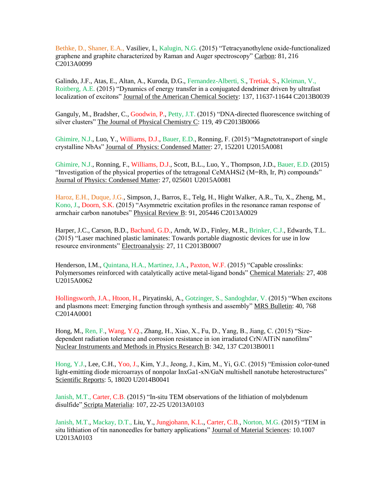Bethke, D., Shaner, E.A., Vasiliev, I., Kalugin, N.G. (2015) "Tetracyanothylene oxide-functionalized graphene and graphite characterized by Raman and Auger spectroscopy" Carbon: 81, 216 C2013A0099

Galindo, J.F., Atas, E., Altan, A., Kuroda, D.G., Fernandez-Alberti, S., Tretiak, S., Kleiman, V., Roitberg, A.E. (2015) "Dynamics of energy transfer in a conjugated dendrimer driven by ultrafast localization of excitons" Journal of the American Chemical Society: 137, 11637-11644 C2013B0039

Ganguly, M., Bradsher, C., Goodwin, P., Petty, J.T. (2015) "DNA-directed fluorescence switching of silver clusters" The Journal of Physical Chemistry C: 119, 49 C2013B0066

Ghimire, N.J., Luo, Y., Williams, D.J., Bauer, E.D., Ronning, F. (2015) "Magnetotransport of single crystalline NbAs" Journal of Physics: Condensed Matter: 27, 152201 U2015A0081

Ghimire, N.J., Ronning, F., Williams, D.J., Scott, B.L., Luo, Y., Thompson, J.D., Bauer, E.D. (2015) "Investigation of the physical properties of the tetragonal CeMAI4Si2 (M=Rh, Ir, Pt) compounds" Journal of Physics: Condensed Matter: 27, 025601 U2015A0081

Haroz, E.H., Duque, J.G., Simpson, J., Barros, E., Telg, H., Hight Walker, A.R., Tu, X., Zheng, M., Kono, J., Doorn, S.K. (2015) "Asymmetric excitation profiles in the resonance raman response of armchair carbon nanotubes" Physical Review B: 91, 205446 C2013A0029

Harper, J.C., Carson, B.D., Bachand, G.D., Arndt, W.D., Finley, M.R., Brinker, C.J., Edwards, T.L. (2015) "Laser machined plastic laminates: Towards portable diagnostic devices for use in low resource environments" Electroanalysis: 27, 11 C2013B0007

Henderson, I.M., Quintana, H.A., Martinez, J.A., Paxton, W.F. (2015) "Capable crosslinks: Polymersomes reinforced with catalytically active metal-ligand bonds" Chemical Materials: 27, 408 U2015A0062

Hollingsworth, J.A., Htoon, H., Piryatinski, A., Gotzinger, S., Sandoghdar, V. (2015) "When excitons and plasmons meet: Emerging function through synthesis and assembly" MRS Bulletin: 40, 768 C2014A0001

Hong, M., Ren, F., Wang, Y.Q., Zhang, H., Xiao, X., Fu, D., Yang, B., Jiang, C. (2015) "Sizedependent radiation tolerance and corrosion resistance in ion irradiated CrN/AlTiN nanofilms" Nuclear Instruments and Methods in Physics Research B: 342, 137 C2013B0011

Hong, Y.J., Lee, C.H., Yoo, J., Kim, Y.J., Jeong, J., Kim, M., Yi, G.C. (2015) "Emission color-tuned light-emitting diode microarrays of nonpolar InxGa1-xN/GaN multishell nanotube heterostructures" Scientific Reports: 5, 18020 U2014B0041

Janish, M.T., Carter, C.B. (2015) "In-situ TEM observations of the lithiation of molybdenum disulfide" Scripta Materialia: 107, 22-25 U2013A0103

Janish, M.T., Mackay, D.T., Liu, Y., Jungjohann, K.L., Carter, C.B., Norton, M.G. (2015) "TEM in situ lithiation of tin nanoneedles for battery applications" Journal of Material Sciences: 10.1007 U2013A0103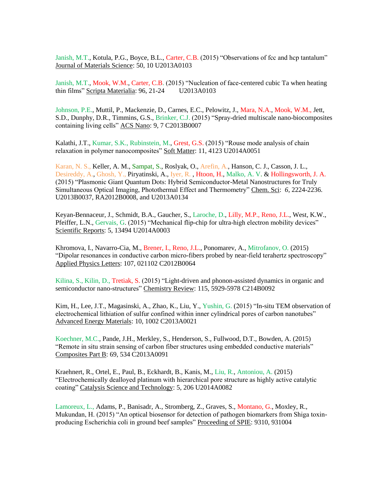Janish, M.T., Kotula, P.G., Boyce, B.L., Carter, C.B. (2015) "Observations of fcc and hcp tantalum" Journal of Materials Science: 50, 10 U2013A0103

Janish, M.T., Mook, W.M., Carter, C.B. (2015) "Nucleation of face-centered cubic Ta when heating thin films" Scripta Materialia: 96, 21-24 U2013A0103

Johnson, P.E., Muttil, P., Mackenzie, D., Carnes, E.C., Pelowitz, J., Mara, N.A., Mook, W.M., Jett, S.D., Dunphy, D.R., Timmins, G.S., Brinker, C.J. (2015) "Spray-dried multiscale nano-biocomposites containing living cells" ACS Nano: 9, 7 C2013B0007

Kalathi, J.T., Kumar, S.K., Rubinstein, M., Grest, G.S. (2015) "Rouse mode analysis of chain relaxation in polymer nanocomposites" Soft Matter: 11, 4123 U2014A0051

Karan, N. S., Keller, A. M., Sampat, S., Roslyak, O., Arefin, A., Hanson, C. J., Casson, J. L., Desireddy, A., Ghosh, Y., Piryatinski, A., Iyer, R. , Htoon, H., Malko, A. V. & Hollingsworth, J. A. (2015) "Plasmonic Giant Quantum Dots: Hybrid Semiconductor-Metal Nanostructures for Truly Simultaneous Optical Imaging, Photothermal Effect and Thermometry" Chem. Sci: *6*, 2224-2236. U2013B0037, RA2012B0008, and U2013A0134

Keyan-Bennaceur, J., Schmidt, B.A., Gaucher, S., Laroche, D., Lilly, M.P., Reno, J.L., West, K.W., Pfeiffer, L.N., Gervais, G. (2015) "Mechanical flip-chip for ultra-high electron mobility devices" Scientific Reports: 5, 13494 U2014A0003

Khromova, I., Navarro-Cia, M., Brener, I., Reno, J.L., Ponomarev, A., Mitrofanov, O. (2015) "Dipolar resonances in conductive carbon micro-fibers probed by near-field terahertz spectroscopy" Applied Physics Letters: 107, 021102 C2012B0064

Kilina, S., Kilin, D., Tretiak, S. (2015) "Light-driven and phonon-assisted dynamics in organic and semiconductor nano-structures" Chemistry Review: 115, 5929-5978 C214B0092

Kim, H., Lee, J.T., Magasinski, A., Zhao, K., Liu, Y., Yushin, G. (2015) "In-situ TEM observation of electrochemical lithiation of sulfur confined within inner cylindrical pores of carbon nanotubes" Advanced Energy Materials: 10, 1002 C2013A0021

Koechner, M.C., Pande, J.H., Merkley, S., Henderson, S., Fullwood, D.T., Bowden, A. (2015) "Remote in situ strain sensing of carbon fiber structures using embedded conductive materials" Composites Part B: 69, 534 C2013A0091

Kraehnert, R., Ortel, E., Paul, B., Eckhardt, B., Kanis, M., Liu, R., Antoniou, A. (2015) "Electrochemically dealloyed platinum with hierarchical pore structure as highly active catalytic coating" Catalysis Science and Technology: 5, 206 U2014A0082

Lamoreux, L., Adams, P., Banisadr, A., Stromberg, Z., Graves, S., Montano, G., Moxley, R., Mukundan, H. (2015) "An optical biosensor for detection of pathogen biomarkers from Shiga toxinproducing Escherichia coli in ground beef samples" Proceeding of SPIE: 9310, 931004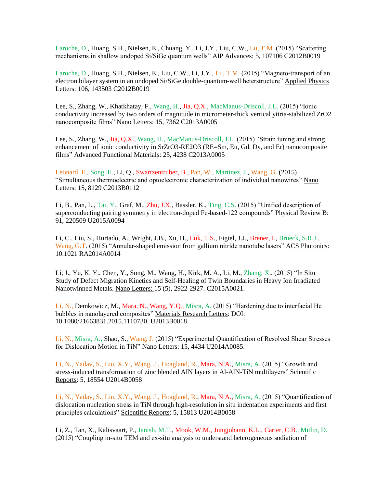Laroche, D., Huang, S.H., Nielsen, E., Chuang, Y., Li, J.Y., Liu, C.W., Lu, T.M. (2015) "Scattering mechanisms in shallow undoped Si/SiGe quantum wells" AIP Advances: 5, 107106 C2012B0019

Laroche, D., Huang, S.H., Nielsen, E., Liu, C.W., Li, J.Y., Lu, T.M. (2015) "Magneto-transport of an electron bilayer system in an undoped Si/SiGe double-quantum-well heterstructure" Applied Physics Letters: 106, 143503 C2012B0019

Lee, S., Zhang, W., Khatkhatay, F., Wang, H., Jia, Q.X., MacManus-Driscoll, J.L. (2015) "Ionic conductivity increased by two orders of magnitude in micrometer-thick vertical yttria-stabilized ZrO2 nanocomposite films" Nano Letters: 15, 7362 C2013A0005

Lee, S., Zhang, W., Jia, Q.X., Wang, H., MacManus-Driscoll, J.L. (2015) "Strain tuning and strong enhancement of ionic conductivity in SrZrO3-RE2O3 (RE=Sm, Eu, Gd, Dy, and Er) nanocomposite films" Advanced Functional Materials: 25, 4238 C2013A0005

Leonard, F., Song, E., Li, Q., Swartzentruber, B., Pan, W., Martinez, J., Wang, G. (2015) "Simultaneous thermoelectric and optoelectronic characterization of individual nanowires" Nano Letters: 15, 8129 C2013B0112

Li, B., Pan, L., Tai, Y., Graf, M., Zhu, J.X., Bassler, K., Ting, C.S. (2015) "Unified description of superconducting pairing symmetry in electron-doped Fe-based-122 compounds" Physical Review B: 91, 220509 U2015A0094

Li, C., Liu, S., Hurtado, A., Wright, J.B., Xu, H., Luk, T.S., Figiel, J.J., Brener, I., Brueck, S.R.J., Wang, G.T. (2015) "Annular-shaped emission from gallium nitride nanotube lasers" ACS Photonics: 10.1021 RA2014A0014

Li, J., Yu, K. Y., Chen, Y., Song, M., Wang, H., Kirk, M. A., Li, M., Zhang, X., (2015) "In Situ Study of Defect Migration Kinetics and Self-Healing of Twin Boundaries in Heavy Ion Irradiated Nanotwinned Metals. Nano Letters: 15 (5), 2922-2927. C2015A0021.

Li, N., Demkowicz, M., Mara, N., Wang, Y.Q., Misra, A. (2015) "Hardening due to interfacial He bubbles in nanolayered composites" Materials Research Letters: DOI: 10.1080/21663831.2015.1110730. U2013B0018

Li, N., Misra, A., Shao, S., Wang, J. (2015) "Experimental Quantification of Resolved Shear Stresses for Dislocation Motion in TiN" Nano Letters: 15, 4434 U2014A0085.

Li, N., Yadav, S., Liu, X.Y., Wang, J., Hoagland, R., Mara, N.A., Misra, A. (2015) "Growth and stress-induced transformation of zinc blended AIN layers in Al-AlN-TiN multilayers" Scientific Reports: 5, 18554 U2014B0058

Li, N., Yadav, S., Liu, X.Y., Wang, J., Hoagland, R., Mara, N.A., Misra, A. (2015) "Quantification of dislocation nucleation stress in TiN through high-resolution in situ indentation experiments and first principles calculations" Scientific Reports: 5, 15813 U2014B0058

Li, Z., Tan, X., Kalisvaart, P., Janish, M.T., Mook, W.M., Jungjohann, K.L., Carter, C.B., Mitlin, D. (2015) "Coupling in-situ TEM and ex-situ analysis to understand heterogeneous sodiation of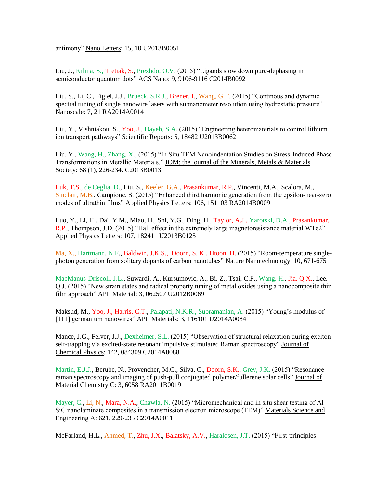antimony" Nano Letters: 15, 10 U2013B0051

Liu, J., Kilina, S., Tretiak, S., Prezhdo, O.V. (2015) "Ligands slow down pure-dephasing in semiconductor quantum dots" ACS Nano: 9, 9106-9116 C2014B0092

Liu, S., Li, C., Figiel, J.J., Brueck, S.R.J., Brener, I., Wang, G.T. (2015) "Continous and dynamic spectral tuning of single nanowire lasers with subnanometer resolution using hydrostatic pressure" Nanoscale: 7, 21 RA2014A0014

Liu, Y., Vishniakou, S., Yoo, J., Dayeh, S.A. (2015) "Engineering heteromaterials to control lithium ion transport pathways" Scientific Reports: 5, 18482 U2013B0062

Liu, Y., Wang, H., Zhang, X., (2015) "In Situ TEM Nanoindentation Studies on Stress-Induced Phase Transformations in Metallic Materials." JOM: the journal of the Minerals, Metals & Materials Society: 68 (1), 226-234. C2013B0013.

Luk, T.S., de Ceglia, D., Liu, S., Keeler, G.A., Prasankumar, R.P., Vincenti, M.A., Scalora, M., Sinclair, M.B., Campione, S. (2015) "Enhanced third harmonic generation from the epsilon-near-zero modes of ultrathin films" Applied Physics Letters: 106, 151103 RA2014B0009

Luo, Y., Li, H., Dai, Y.M., Miao, H., Shi, Y.G., Ding, H., Taylor, A.J., Yarotski, D.A., Prasankumar, R.P., Thompson, J.D. (2015) "Hall effect in the extremely large magnetoresistance material WTe2" Applied Physics Letters: 107, 182411 U2013B0125

Ma, X., Hartmann, N.F., Baldwin, J.K.S., Doorn, S. K., Htoon, H. (2015) "Room-temperature singlephoton generation from solitary dopants of carbon nanotubes" Nature Nanotechnology 10, 671-675

MacManus-Driscoll, J.L., Suwardi, A., Kursumovic, A., Bi, Z., Tsai, C.F., Wang, H., Jia, Q.X., Lee, Q.J. (2015) "New strain states and radical property tuning of metal oxides using a nanocomposite thin film approach" APL Material: 3, 062507 U2012B0069

Maksud, M., Yoo, J., Harris, C.T., Palapati, N.K.R., Subramanian, A. (2015) "Young's modulus of [111] germanium nanowires" APL Materials: 3, 116101 U2014A0084

Mance, J.G., Felver, J.J., Dexheimer, S.L. (2015) "Observation of structural relaxation during exciton self-trapping via excited-state resonant impulsive stimulated Raman spectroscopy" Journal of Chemical Physics: 142, 084309 C2014A0088

Martin, E.J.J., Berube, N., Provencher, M.C., Silva, C., Doorn, S.K., Grey, J.K. (2015) "Resonance raman spectroscopy and imaging of push-pull conjugated polymer/fullerene solar cells" Journal of Material Chemistry C: 3, 6058 RA2011B0019

Mayer, C., Li, N., Mara, N.A., Chawla, N. (2015) "Micromechanical and in situ shear testing of Al-SiC nanolaminate composites in a transmission electron microscope (TEM)" Materials Science and Engineering A: 621, 229-235 C2014A0011

McFarland, H.L., Ahmed, T., Zhu, J.X., Balatsky, A.V., Haraldsen, J.T. (2015) "First-principles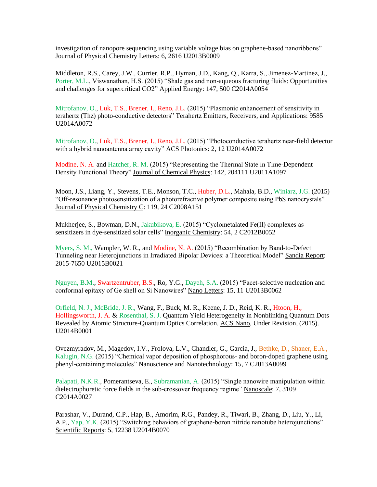investigation of nanopore sequencing using variable voltage bias on graphene-based nanoribbons" Journal of Physical Chemistry Letters: 6, 2616 U2013B0009

Middleton, R.S., Carey, J.W., Currier, R.P., Hyman, J.D., Kang, Q., Karra, S., Jimenez-Martinez, J., Porter, M.L., Viswanathan, H.S. (2015) "Shale gas and non-aqueous fracturing fluids: Opportunities and challenges for supercritical CO2" Applied Energy: 147, 500 C2014A0054

Mitrofanov, O., Luk, T.S., Brener, I., Reno, J.L. (2015) "Plasmonic enhancement of sensitivity in terahertz (Thz) photo-conductive detectors" Terahertz Emitters, Receivers, and Applications: 9585 U2014A0072

Mitrofanov, O., Luk, T.S., Brener, I., Reno, J.L. (2015) "Photoconductive terahertz near-field detector with a hybrid nanoantenna array cavity" ACS Photonics: 2, 12 U2014A0072

Modine, N. A. and Hatcher, R. M. (2015) "Representing the Thermal State in Time-Dependent Density Functional Theory" Journal of Chemical Physics: 142, 204111 U2011A1097

Moon, J.S., Liang, Y., Stevens, T.E., Monson, T.C., Huber, D.L., Mahala, B.D., Winiarz, J.G. (2015) "Off-resonance photosensitization of a photorefractive polymer composite using PbS nanocrystals" Journal of Physical Chemistry C: 119, 24 C2008A151

Mukherjee, S., Bowman, D.N., Jakubikova, E. (2015) "Cyclometalated Fe(II) complexes as sensitizers in dye-sensitized solar cells" Inorganic Chemistry: 54, 2 C2012B0052

Myers, S. M., Wampler, W. R., and Modine, N. A. (2015) "Recombination by Band-to-Defect Tunneling near Heterojunctions in Irradiated Bipolar Devices: a Theoretical Model" Sandia Report: 2015-7650 U2015B0021

Nguyen, B.M., Swartzentruber, B.S., Ro, Y.G., Dayeh, S.A. (2015) "Facet-selective nucleation and conformal epitaxy of Ge shell on Si Nanowires" Nano Letters: 15, 11 U2013B0062

Orfield, N. J., McBride, J. R., Wang, F., Buck, M. R., Keene, J. D., Reid, K. R., Htoon, H., Hollingsworth, J. A. & Rosenthal, S. J. Quantum Yield Heterogeneity in Nonblinking Quantum Dots Revealed by Atomic Structure-Quantum Optics Correlation. ACS Nano, Under Revision, (2015). U2014B0001

Ovezmyradov, M., Magedov, I.V., Frolova, L.V., Chandler, G., Garcia, J., Bethke, D., Shaner, E.A., Kalugin, N.G. (2015) "Chemical vapor deposition of phosphorous- and boron-doped graphene using phenyl-containing molecules" Nanoscience and Nanotechnology: 15, 7 C2013A0099

Palapati, N.K.R., Pomerantseva, E., Subramanian, A. (2015) "Single nanowire manipulation within dielectrophoretic force fields in the sub-crossover frequency regime" Nanoscale: 7, 3109 C2014A0027

Parashar, V., Durand, C.P., Hap, B., Amorim, R.G., Pandey, R., Tiwari, B., Zhang, D., Liu, Y., Li, A.P., Yap, Y.K. (2015) "Switching behaviors of graphene-boron nitride nanotube heterojunctions" Scientific Reports: 5, 12238 U2014B0070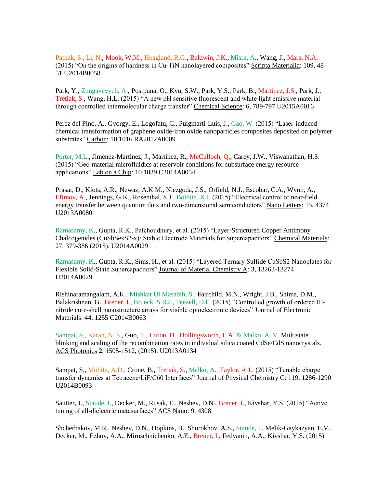Pathak, S., Li, N., Mook, W.M., Hoagland, R.G., Baldwin, J.K., Misra, A., Wang, J., Mara, N.A. (2015) "On the origins of hardness in Cu-TiN nanolayered composites" Scripta Materialia: 109, 48- 51 U2014B0058

Park, Y., Zhugayevych, A., Postpuna, O., Kyu, S.W., Park, Y.S., Park, B., Martinez, J.S., Park, J., Tretiak, S., Wang, H.L. (2015) "A new pH sensitive fluorescent and white light emissive material through controlled intermolecular charge transfer" Chemical Science: 6, 789-797 U2015A0016

Perez del Pino, A., Gyorgy, E., Logofatu, C., Puigmarti-Luis, J., Gao, W. (2015) "Laser-induced chemical transformation of graphene oxide-iron oxide nanoparticles composites deposited on polymer substrates" Carbon: 10.1016 RA2012A0009

Porter, M.L., Jimenez-Martinez, J., Martinez, R., McCulloch, Q., Carey, J.W., Viswanathan, H.S. (2015) "Geo-material microfluidics at reservoir conditions for subsurface energy resource applications" Lab on a Chip: 10.1039 C2014A0054

Prasai, D., Klots, A.R., Newaz, A.K.M., Niezgoda, J.S., Orfield, N.J., Escobar, C.A., Wynn, A., Efimov, A., Jennings, G.K., Rosenthal, S.J., Bolotin, K.I. (2015) "Electrical control of near-field energy transfer between quantum dots and two-dimensional semiconductors" Nano Letters: 15, 4374 U2013A0080

Ramasamy, K., Gupta, R.K., Palchoudhury, et al. (2015) "Layer-Structured Copper Antimony Chalcogenides (CuSbSexS2-x): Stable Electrode Materials for Supercapacitors" Chemical Materials: 27, 379-386 (2015). U2014A0029

Ramasamy, K., Gupta, R.K., Sims, H., et al. (2015) "Layered Ternary Sulfide CuSbS2 Nanoplates for Flexible Solid-State Supercapacitors" Journal of Material Chemistry A: 3, 13263-13274 U2014A0029

Rishinaramangalam, A.K., Mishkat Ul Masabih, S., Fairchild, M.N., Wright, J.B., Shima, D.M., Balakrishnan, G., Brener, I., Brueck, S.R.J., Feezell, D.F. (2015) "Controlled growth of ordered IIInitride core-shell nanostructure arrays for visible optoelectronic devices" Journal of Electronic Materials: 44, 1255 C2014B0063

Sampat, S., Karan, N. S., Guo, T., Htoon, H., Hollingsworth, J. A. & Malko, A. V. Multistate blinking and scaling of the recombination rates in individual silica coated CdSe/CdS nanocrystals. ACS Photonics **2**, 1505-1512, (2015). U2013A0134

Sampat, S., Mohite, A.D., Crone, B., Tretiak, S., Malko, A., Taylor, A.J., (2015) "Tunable charge transfer dynamics at Tetracene/LiF/C60 Interfaces" Journal of Physical Chemistry C: 119, 1286-1290 U2014B0093

Sautter, J., Staude, I., Decker, M., Rusak, E., Neshev, D.N., Brener, I., Kivshar, Y.S. (2015) "Active tuning of all-dielectric metasurfaces" ACS Nano: 9, 4308

Shcherbakov, M.R., Neshev, D.N., Hopkins, B., Shorokhov, A.S., Staude, I., Melik-Gaykazyan, E.V., Decker, M., Ezhov, A.A., Miroschnichenko, A.E., Brener, I., Fedyanin, A.A., Kivshar, Y.S. (2015)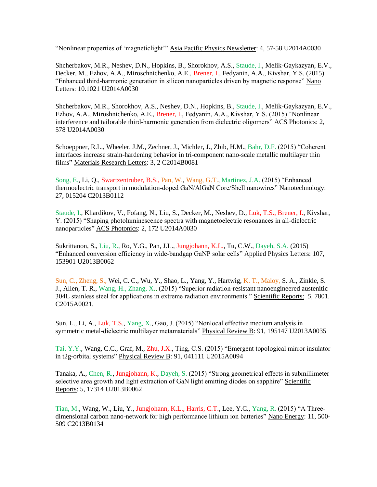"Nonlinear properties of 'magneticlight'" Asia Pacific Physics Newsletter: 4, 57-58 U2014A0030

Shcherbakov, M.R., Neshev, D.N., Hopkins, B., Shorokhov, A.S., Staude, I., Melik-Gaykazyan, E.V., Decker, M., Ezhov, A.A., Miroschnichenko, A.E., Brener, I., Fedyanin, A.A., Kivshar, Y.S. (2015) "Enhanced third-harmonic generation in silicon nanoparticles driven by magnetic response" Nano Letters: 10.1021 U2014A0030

Shcherbakov, M.R., Shorokhov, A.S., Neshev, D.N., Hopkins, B., Staude, I., Melik-Gaykazyan, E.V., Ezhov, A.A., Miroshnichenko, A.E., Brener, I., Fedyanin, A.A., Kivshar, Y.S. (2015) "Nonlinear interference and tailorable third-harmonic generation from dielectric oligomers" ACS Photonics: 2, 578 U2014A0030

Schoeppner, R.L., Wheeler, J.M., Zechner, J., Michler, J., Zbib, H.M., Bahr, D.F. (2015) "Coherent interfaces increase strain-hardening behavior in tri-component nano-scale metallic multilayer thin films" Materials Research Letters: 3, 2 C2014B0081

Song, E., Li, Q., Swartzentruber, B.S., Pan, W., Wang, G.T., Martinez, J.A. (2015) "Enhanced thermoelectric transport in modulation-doped GaN/AlGaN Core/Shell nanowires" Nanotechnology: 27, 015204 C2013B0112

Staude, I., Khardikov, V., Fofang, N., Liu, S., Decker, M., Neshev, D., Luk, T.S., Brener, I., Kivshar, Y. (2015) "Shaping photoluminescence spectra with magnetoelectric resonances in all-dielectric nanoparticles" ACS Photonics: 2, 172 U2014A0030

Sukrittanon, S., Liu, R., Ro, Y.G., Pan, J.L., Jungjohann, K.L., Tu, C.W., Dayeh, S.A. (2015) "Enhanced conversion efficiency in wide-bandgap GaNP solar cells" Applied Physics Letters: 107, 153901 U2013B0062

Sun, C., Zheng, S., Wei, C. C., Wu, Y., Shao, L., Yang, Y., Hartwig, K. T., Maloy, S. A., Zinkle, S. J., Allen, T. R., Wang, H., Zhang, X., (2015) "Superior radiation-resistant nanoengineered austenitic 304L stainless steel for applications in extreme radiation environments." Scientific Reports: *5*, 7801. C2015A0021.

Sun, L., Li, A., Luk, T.S., Yang, X., Gao, J. (2015) "Nonlocal effective medium analysis in symmetric metal-dielectric multilayer metamaterials" Physical Review B: 91, 195147 U2013A0035

Tai, Y.Y., Wang, C.C., Graf, M., Zhu, J.X., Ting, C.S. (2015) "Emergent topological mirror insulator in t2g-orbital systems" Physical Review B: 91, 041111 U2015A0094

Tanaka, A., Chen, R., Jungjohann, K., Dayeh, S. (2015) "Strong geometrical effects in submillimeter selective area growth and light extraction of GaN light emitting diodes on sapphire" Scientific Reports: 5, 17314 U2013B0062

Tian, M., Wang, W., Liu, Y., Jungjohann, K.L., Harris, C.T., Lee, Y.C., Yang, R. (2015) "A Threedimensional carbon nano-network for high performance lithium ion batteries" Nano Energy: 11, 500- 509 C2013B0134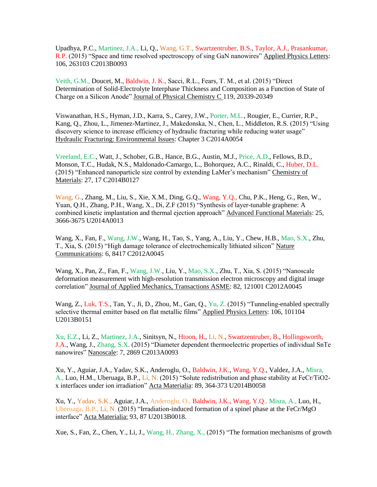Upadhya, P.C., Martinez, J.A., Li, Q., Wang, G.T., Swartzentruber, B.S., Taylor, A.J., Prasankumar, R.P. (2015) "Space and time resolved spectroscopy of sing GaN nanowires" Applied Physics Letters: 106, 263103 C2013B0093

Veith, G.M., Doucet, M., Baldwin, J. K., Sacci, R.L., Fears, T. M., et al. (2015) "Direct Determination of Solid-Electrolyte Interphase Thickness and Composition as a Function of State of Charge on a Silicon Anode" Journal of Physical Chemistry C 119, 20339-20349

Viswanathan, H.S., Hyman, J.D., Karra, S., Carey, J.W., Porter, M.L., Rougier, E., Currier, R.P., Kang, Q., Zhou, L., Jimenez-Martinez, J., Makedonska, N., Chen, L., Middleton, R.S. (2015) "Using discovery science to increase efficiency of hydraulic fracturing while reducing water usage" Hydraulic Fracturing: Environmental Issues: Chapter 3 C2014A0054

Vreeland, E.C., Watt, J., Schober, G.B., Hance, B.G., Austin, M.J., Price, A.D., Fellows, B.D., Monson, T.C., Hudak, N.S., Maldonado-Camargo, L., Bohorquez, A.C., Rinaldi, C., Huber, D.L. (2015) "Enhanced nanoparticle size control by extending LaMer's mechanism" Chemistry of Materials: 27, 17 C2014B0127

Wang, G., Zhang, M., Liu, S., Xie, X.M., Ding, G.Q., Wang, Y.Q., Chu, P.K., Heng, G., Ren, W., Yuan, Q.H., Zhang, P.H., Wang, X., Di, Z.F (2015) "Synthesis of layer-tunable graphene: A combined kinetic implantation and thermal ejection approach" Advanced Functional Materials: 25, 3666-3675 U2014A0013

Wang, X., Fan, F., Wang, J.W., Wang, H., Tao, S., Yang, A., Liu, Y., Chew, H.B., Mao, S.X., Zhu, T., Xia, S. (2015) "High damage tolerance of electrochemically lithiated silicon" Nature Communications: 6, 8417 C2012A0045

Wang, X., Pan, Z., Fan, F., Wang, J.W., Liu, Y., Mao, S.X., Zhu, T., Xia, S. (2015) "Nanoscale deformation measurement with high-resolution transmission electron microscopy and digital image correlation" Journal of Applied Mechanics, Transactions ASME: 82, 121001 C2012A0045

Wang, Z., Luk, T.S., Tan, Y., Ji, D., Zhou, M., Gan, Q., Yu, Z. (2015) "Tunneling-enabled spectrally selective thermal emitter based on flat metallic films" Applied Physics Letters: 106, 101104 U2013B0151

Xu, E.Z., Li, Z., Martinez, J.A., Sinitsyn, N., Htoon, H., Li, N., Swartzentruber, B., Hollingsworth, J.A., Wang, J., Zhang, S.X. (2015) "Diameter dependent thermoelectric properties of individual SnTe nanowires" Nanoscale: 7, 2869 C2013A0093

Xu, Y., Aguiar, J.A., Yadav, S.K., Anderoglu, O., Baldwin, J.K., Wang, Y.Q., Valdez, J.A., Misra, A., Luo, H.M., Uberuaga, B.P., Li, N. (2015) "Solute redistribution and phase stability at FeCr/TiO2 x interfaces under ion irradiation" Acta Materialia: 89, 364-373 U2014B0058

Xu, Y., Yadav, S.K., Aguiar, J.A., Anderoglu, O., Baldwin, J.K., Wang, Y.Q., Misra, A., Luo, H., Uberuaga, B.P., Li, N. (2015) "Irradiation-induced formation of a spinel phase at the FeCr/MgO interface" Acta Materialia: 93, 87 U2013B0018.

Xue, S., Fan, Z., Chen, Y., Li, J., Wang, H., Zhang, X., (2015) "The formation mechanisms of growth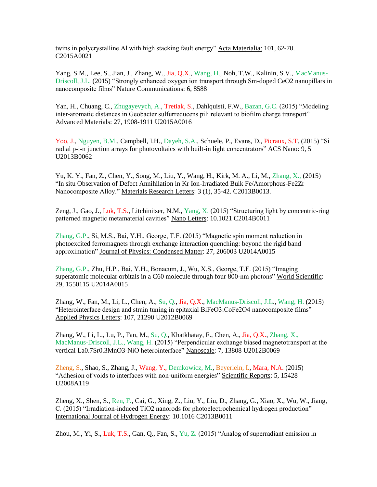twins in polycrystalline Al with high stacking fault energy" Acta Materialia: 101, 62-70. C2015A0021

Yang, S.M., Lee, S., Jian, J., Zhang, W., Jia, Q.X., Wang, H., Noh, T.W., Kalinin, S.V., MacManus-Driscoll, J.L. (2015) "Strongly enhanced oxygen ion transport through Sm-doped CeO2 nanopillars in nanocomposite films" Nature Communications: 6, 8588

Yan, H., Chuang, C., Zhugayevych, A., Tretiak, S., Dahlquisti, F.W., Bazan, G.C. (2015) "Modeling inter-aromatic distances in Geobacter sulfurreducens pili relevant to biofilm charge transport" Advanced Materials: 27, 1908-1911 U2015A0016

Yoo, J., Nguyen, B.M., Campbell, I.H., Dayeh, S.A., Schuele, P., Evans, D., Picraux, S.T. (2015) "Si radial p-i-n junction arrays for photovoltaics with built-in light concentrators" ACS Nano: 9, 5 U2013B0062

Yu, K. Y., Fan, Z., Chen, Y., Song, M., Liu, Y., Wang, H., Kirk, M. A., Li, M., Zhang, X., (2015) "In situ Observation of Defect Annihilation in Kr Ion-Irradiated Bulk Fe/Amorphous-Fe2Zr Nanocomposite Alloy." Materials Research Letters: 3 (1), 35-42. C2013B0013.

Zeng, J., Gao, J., Luk, T.S., Litchinitser, N.M., Yang, X. (2015) "Structuring light by concentric-ring patterned magnetic metamaterial cavities" Nano Letters: 10.1021 C2014B0011

Zhang, G.P., Si, M.S., Bai, Y.H., George, T.F. (2015) "Magnetic spin moment reduction in photoexcited ferromagnets through exchange interaction quenching: beyond the rigid band approximation" Journal of Physics: Condensed Matter: 27, 206003 U2014A0015

Zhang, G.P., Zhu, H.P., Bai, Y.H., Bonacum, J., Wu, X.S., George, T.F. (2015) "Imaging superatomic molecular orbitals in a C60 molecule through four 800-nm photons" World Scientific: 29, 1550115 U2014A0015

Zhang, W., Fan, M., Li, L., Chen, A., Su, Q., Jia, Q.X., MacManus-Driscoll, J.L., Wang, H. (2015) "Heterointerface design and strain tuning in epitaxial BiFeO3:CoFe2O4 nanocomposite films" Applied Physics Letters: 107, 21290 U2012B0069

Zhang, W., Li, L., Lu, P., Fan, M., Su, Q., Khatkhatay, F., Chen, A., Jia, Q.X., Zhang, X., MacManus-Driscoll, J.L., Wang, H. (2015) "Perpendicular exchange biased magnetotransport at the vertical La0.7Sr0.3MnO3-NiO heterointerface" Nanoscale: 7, 13808 U2012B0069

Zheng, S., Shao, S., Zhang, J., Wang, Y., Demkowicz, M., Beyerlein, I., Mara, N.A. (2015) "Adhesion of voids to interfaces with non-uniform energies" Scientific Reports: 5, 15428 U2008A119

Zheng, X., Shen, S., Ren, F., Cai, G., Xing, Z., Liu, Y., Liu, D., Zhang, G., Xiao, X., Wu, W., Jiang, C. (2015) "Irradiation-induced TiO2 nanorods for photoelectrochemical hydrogen production" International Journal of Hydrogen Energy: 10.1016 C2013B0011

Zhou, M., Yi, S., Luk, T.S., Gan, Q., Fan, S., Yu, Z. (2015) "Analog of superradiant emission in